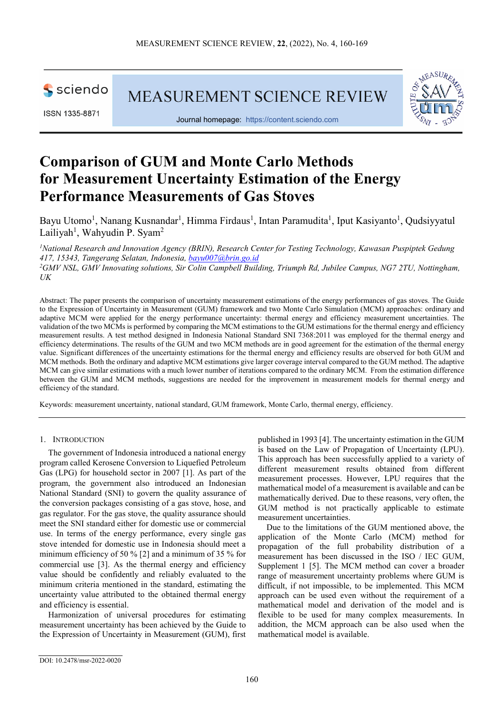

ISSN 1335-8871

*UK*

MEASUREMENT SCIENCE REVIEW



Journal homepage: [https://content.sciendo.com](https://content.sciendo.com/view/journals/msr/msr-overview.xml)

# **Comparison of GUM and Monte Carlo Methods for Measurement Uncertainty Estimation of the Energy Performance Measurements of Gas Stoves**

Bayu Utomo<sup>1</sup>, Nanang Kusnandar<sup>1</sup>, Himma Firdaus<sup>1</sup>, Intan Paramudita<sup>1</sup>, Iput Kasiyanto<sup>1</sup>, Qudsiyyatul Lailiyah<sup>1</sup>, Wahyudin P. Syam<sup>2</sup>

<sup>1</sup> National Research and Innovation Agency (BRIN), Research Center for Testing Technology, Kawasan Puspiptek Gedung *417, 15343, Tangerang Selatan, Indonesia[, bayu007@brin.go.id](mailto:bayu007@brin.go.id)* <sup>2</sup>GMV NSL, GMV Innovating solutions, Sir Colin Campbell Building, Triumph Rd, Jubilee Campus, NG7 2TU, Nottingham,

Abstract: The paper presents the comparison of uncertainty measurement estimations of the energy performances of gas stoves. The Guide to the Expression of Uncertainty in Measurement (GUM) framework and two Monte Carlo Simulation (MCM) approaches: ordinary and adaptive MCM were applied for the energy performance uncertainty: thermal energy and efficiency measurement uncertainties. The validation of the two MCMs is performed by comparing the MCM estimations to the GUM estimations for the thermal energy and efficiency measurement results. A test method designed in Indonesia National Standard SNI 7368:2011 was employed for the thermal energy and efficiency determinations. The results of the GUM and two MCM methods are in good agreement for the estimation of the thermal energy value. Significant differences of the uncertainty estimations for the thermal energy and efficiency results are observed for both GUM and MCM methods. Both the ordinary and adaptive MCM estimations give larger coverage interval compared to the GUM method. The adaptive MCM can give similar estimations with a much lower number of iterations compared to the ordinary MCM. From the estimation difference between the GUM and MCM methods, suggestions are needed for the improvement in measurement models for thermal energy and efficiency of the standard.

Keywords: measurement uncertainty, national standard, GUM framework, Monte Carlo, thermal energy, efficiency.

## 1. INTRODUCTION

The government of Indonesia introduced a national energy program called Kerosene Conversion to Liquefied Petroleum Gas (LPG) for household sector in 2007 [1]. As part of the program, the government also introduced an Indonesian National Standard (SNI) to govern the quality assurance of the conversion packages consisting of a gas stove, hose, and gas regulator. For the gas stove, the quality assurance should meet the SNI standard either for domestic use or commercial use. In terms of the energy performance, every single gas stove intended for domestic use in Indonesia should meet a minimum efficiency of 50 % [2] and a minimum of 35 % for commercial use [3]. As the thermal energy and efficiency value should be confidently and reliably evaluated to the minimum criteria mentioned in the standard, estimating the uncertainty value attributed to the obtained thermal energy and efficiency is essential.

Harmonization of universal procedures for estimating measurement uncertainty has been achieved by the Guide to the Expression of Uncertainty in Measurement (GUM), first published in 1993 [4]. The uncertainty estimation in the GUM is based on the Law of Propagation of Uncertainty (LPU). This approach has been successfully applied to a variety of different measurement results obtained from different measurement processes. However, LPU requires that the mathematical model of a measurement is available and can be mathematically derived. Due to these reasons, very often, the GUM method is not practically applicable to estimate measurement uncertainties.

Due to the limitations of the GUM mentioned above, the application of the Monte Carlo (MCM) method for propagation of the full probability distribution of a measurement has been discussed in the ISO / IEC GUM, Supplement 1 [5]. The MCM method can cover a broader range of measurement uncertainty problems where GUM is difficult, if not impossible, to be implemented. This MCM approach can be used even without the requirement of a mathematical model and derivation of the model and is flexible to be used for many complex measurements. In addition, the MCM approach can be also used when the mathematical model is available.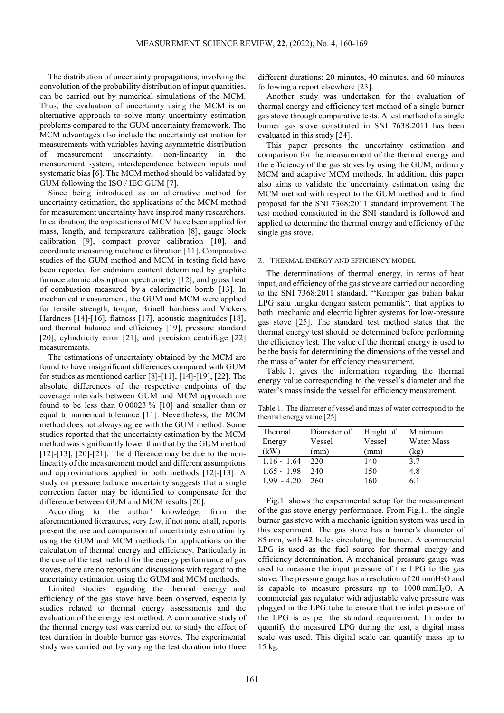The distribution of uncertainty propagations, involving the convolution of the probability distribution of input quantities, can be carried out by numerical simulations of the MCM. Thus, the evaluation of uncertainty using the MCM is an alternative approach to solve many uncertainty estimation problems compared to the GUM uncertainty framework. The MCM advantages also include the uncertainty estimation for measurements with variables having asymmetric distribution of measurement uncertainty, non-linearity in the measurement system, interdependence between inputs and systematic bias [6]. The MCM method should be validated by GUM following the ISO / IEC GUM [7].

Since being introduced as an alternative method for uncertainty estimation, the applications of the MCM method for measurement uncertainty have inspired many researchers. In calibration, the applications of MCM have been applied for mass, length, and temperature calibration [8], gauge block calibration [9], compact prover calibration [10], and coordinate measuring machine calibration [11]. Comparative studies of the GUM method and MCM in testing field have been reported for cadmium content determined by graphite furnace atomic absorption spectrometry [12], and gross heat of combustion measured by a calorimetric bomb [13]. In mechanical measurement, the GUM and MCM were applied for tensile strength, torque, Brinell hardness and Vickers Hardness [14]-[16], flatness [17], acoustic magnitudes [18], and thermal balance and efficiency [19], pressure standard [20], cylindricity error [21], and precision centrifuge [22] measurements.

The estimations of uncertainty obtained by the MCM are found to have insignificant differences compared with GUM for studies as mentioned earlier [8]-[11], [14]-[19], [22]. The absolute differences of the respective endpoints of the coverage intervals between GUM and MCM approach are found to be less than 0.00023 % [10] and smaller than or equal to numerical tolerance [11]. Nevertheless, the MCM method does not always agree with the GUM method. Some studies reported that the uncertainty estimation by the MCM method was significantly lower than that by the GUM method  $[12]$ - $[13]$ ,  $[20]$ - $[21]$ . The difference may be due to the nonlinearity of the measurement model and different assumptions and approximations applied in both methods [12]-[13]. A study on pressure balance uncertainty suggests that a single correction factor may be identified to compensate for the difference between GUM and MCM results [20].

According to the author' knowledge, from the aforementioned literatures, very few, if not none at all, reports present the use and comparison of uncertainty estimation by using the GUM and MCM methods for applications on the calculation of thermal energy and efficiency. Particularly in the case of the test method for the energy performance of gas stoves, there are no reports and discussions with regard to the uncertainty estimation using the GUM and MCM methods.

Limited studies regarding the thermal energy and efficiency of the gas stove have been observed, especially studies related to thermal energy assessments and the evaluation of the energy test method. A comparative study of the thermal energy test was carried out to study the effect of test duration in double burner gas stoves. The experimental study was carried out by varying the test duration into three

different durations: 20 minutes, 40 minutes, and 60 minutes following a report elsewhere [23].

Another study was undertaken for the evaluation of thermal energy and efficiency test method of a single burner gas stove through comparative tests. A test method of a single burner gas stove constituted in SNI 7638:2011 has been evaluated in this study [24].

This paper presents the uncertainty estimation and comparison for the measurement of the thermal energy and the efficiency of the gas stoves by using the GUM, ordinary MCM and adaptive MCM methods. In addition, this paper also aims to validate the uncertainty estimation using the MCM method with respect to the GUM method and to find proposal for the SNI 7368:2011 standard improvement. The test method constituted in the SNI standard is followed and applied to determine the thermal energy and efficiency of the single gas stove.

#### 2. THERMAL ENERGY AND EFFICIENCY MODEL

The determinations of thermal energy, in terms of heat input, and efficiency of the gas stove are carried out according to the SNI 7368:2011 standard, ''Kompor gas bahan bakar LPG satu tungku dengan sistem pemantik", that applies to both mechanic and electric lighter systems for low-pressure gas stove [25]. The standard test method states that the thermal energy test should be determined before performing the efficiency test. The value of the thermal energy is used to be the basis for determining the dimensions of the vessel and the mass of water for efficiency measurement.

Table 1. gives the information regarding the thermal energy value corresponding to the vessel's diameter and the water's mass inside the vessel for efficiency measurement.

Table 1. The diameter of vessel and mass of water correspond to the thermal energy value [25].

| Thermal          | Diameter of | Height of | Minimum    |
|------------------|-------------|-----------|------------|
| Energy           | Vessel      | Vessel    | Water Mass |
| (kW)             | (mm)        | (mm)      | (kg)       |
| $1.16 \sim 1.64$ | 220         | 140       | 3.7        |
| $1.65 \sim 1.98$ | 240         | 150       | 4.8        |
| $1.99 \sim 4.20$ | 260         | 160       | 61         |

Fig.1. shows the experimental setup for the measurement of the gas stove energy performance. From Fig.1., the single burner gas stove with a mechanic ignition system was used in this experiment. The gas stove has a burner's diameter of 85 mm, with 42 holes circulating the burner. A commercial LPG is used as the fuel source for thermal energy and efficiency determination. A mechanical pressure gauge was used to measure the input pressure of the LPG to the gas stove. The pressure gauge has a resolution of 20 mmH2O and is capable to measure pressure up to  $1000 \text{ mmH}_2\text{O}$ . A commercial gas regulator with adjustable valve pressure was plugged in the LPG tube to ensure that the inlet pressure of the LPG is as per the standard requirement. In order to quantify the measured LPG during the test, a digital mass scale was used. This digital scale can quantify mass up to 15 kg.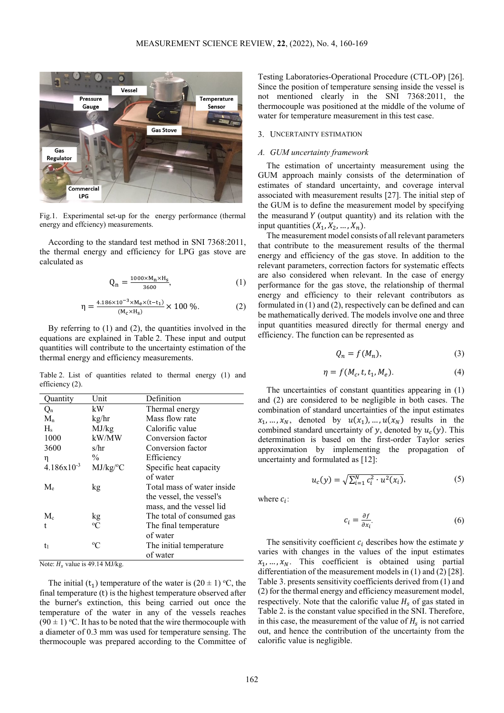

Fig.1. Experimental set-up for the energy performance (thermal energy and effciency) measurements.

According to the standard test method in SNI 7368:2011, the thermal energy and efficiency for LPG gas stove are calculated as

$$
Q_n = \frac{1000 \times M_n \times H_s}{3600},
$$
 (1)

$$
\eta = \frac{4.186 \times 10^{-3} \times M_e \times (t - t_1)}{(M_c \times H_s)} \times 100 \, \%
$$
 (2)

By referring to (1) and (2), the quantities involved in the equations are explained in Table 2. These input and output quantities will contribute to the uncertainty estimation of the thermal energy and efficiency measurements.

Table 2. List of quantities related to thermal energy (1) and efficiency (2).

| Quantity        | Unit          | Definition                 |
|-----------------|---------------|----------------------------|
| $Q_n$           | kW            | Thermal energy             |
| $M_{n}$         | kg/hr         | Mass flow rate             |
| $H_s$           | MJ/kg         | Calorific value            |
| 1000            | kW/MW         | Conversion factor          |
| 3600            | s/hr          | Conversion factor          |
| η               | $\frac{0}{0}$ | Efficiency                 |
| $4.186x10^{-3}$ | MJ/kg/°C      | Specific heat capacity     |
|                 |               | of water                   |
| $M_e$           | kg            | Total mass of water inside |
|                 |               | the vessel, the vessel's   |
|                 |               | mass, and the vessel lid   |
| $M_{c}$         | kg            | The total of consumed gas  |
| t               | $\rm ^{o}C$   | The final temperature      |
|                 |               | of water                   |
| t <sub>1</sub>  | $\rm ^{o}C$   | The initial temperature.   |
|                 |               | of water                   |

Note:  $H<sub>s</sub>$  value is 49.14 MJ/kg.

The initial ( $t_1$ ) temperature of the water is (20  $\pm$  1) °C, the final temperature (t) is the highest temperature observed after the burner's extinction, this being carried out once the temperature of the water in any of the vessels reaches  $(90 \pm 1)$  °C. It has to be noted that the wire thermocouple with a diameter of 0.3 mm was used for temperature sensing. The thermocouple was prepared according to the Committee of

Testing Laboratories-Operational Procedure (CTL-OP) [26]. Since the position of temperature sensing inside the vessel is not mentioned clearly in the SNI 7368:2011, the thermocouple was positioned at the middle of the volume of water for temperature measurement in this test case.

## 3. UNCERTAINTY ESTIMATION

## *A. GUM uncertainty framework*

The estimation of uncertainty measurement using the GUM approach mainly consists of the determination of estimates of standard uncertainty, and coverage interval associated with measurement results [27]. The initial step of the GUM is to define the measurement model by specifying the measurand  $Y$  (output quantity) and its relation with the input quantities  $(X_1, X_2, ..., X_n)$ .

The measurement model consists of all relevant parameters that contribute to the measurement results of the thermal energy and efficiency of the gas stove. In addition to the relevant parameters, correction factors for systematic effects are also considered when relevant. In the case of energy performance for the gas stove, the relationship of thermal energy and efficiency to their relevant contributors as formulated in (1) and (2), respectively can be defined and can be mathematically derived. The models involve one and three input quantities measured directly for thermal energy and efficiency. The function can be represented as

$$
Q_n = f(M_n),\tag{3}
$$

$$
\eta = f(M_c, t, t_1, M_e). \tag{4}
$$

The uncertainties of constant quantities appearing in (1) and (2) are considered to be negligible in both cases. The combination of standard uncertainties of the input estimates  $x_1, ..., x_N$ , denoted by  $u(x_1), ..., u(x_N)$  results in the combined standard uncertainty of y, denoted by  $u_c(y)$ . This determination is based on the first-order Taylor series approximation by implementing the propagation of uncertainty and formulated as [12]:

$$
u_c(y) = \sqrt{\sum_{i=1}^{N} c_i^2 \cdot u^2(x_i)},
$$
 (5)

where  $c_i$ :

$$
c_i = \frac{\partial f}{\partial x_i}.\tag{6}
$$

The sensitivity coefficient  $c_i$  describes how the estimate  $y$ varies with changes in the values of the input estimates  $x_1, \ldots, x_N$ . This coefficient is obtained using partial differentiation of the measurement models in (1) and (2) [28]. Table 3. presents sensitivity coefficients derived from (1) and (2) for the thermal energy and efficiency measurement model, respectively. Note that the calorific value  $H<sub>s</sub>$  of gas stated in Table 2. is the constant value specified in the SNI. Therefore, in this case, the measurement of the value of  $H_s$  is not carried out, and hence the contribution of the uncertainty from the calorific value is negligible.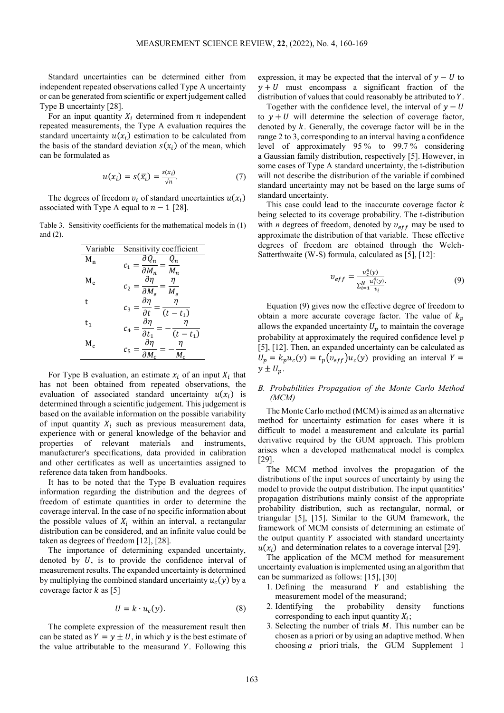Standard uncertainties can be determined either from independent repeated observations called Type A uncertainty or can be generated from scientific or expert judgement called Type B uncertainty [28].

For an input quantity  $X_i$  determined from  $n$  independent repeated measurements, the Type A evaluation requires the standard uncertainty  $u(x_i)$  estimation to be calculated from the basis of the standard deviation  $s(x_i)$  of the mean, which can be formulated as

$$
u(x_i) = s(\overline{x_i}) = \frac{s(x_i)}{\sqrt{n}}.
$$
 (7)

The degrees of freedom  $v_i$  of standard uncertainties  $u(x_i)$ associated with Type A equal to  $n - 1$  [28].

Table 3. Sensitivity coefficients for the mathematical models in (1) and (2).

| Variable | Sensitivity coefficient                                                  |
|----------|--------------------------------------------------------------------------|
| $M_n$    | $\partial Q_n$<br>$\mathit{Q}_n$                                         |
|          | $c_{1}$<br>$\overline{\partial M_n}$<br>$M_n$                            |
| $M_e$    | дп                                                                       |
|          | c <sub>2</sub><br>$\overline{\partial M_e}$<br>$M_e$                     |
| t        | $\frac{\partial \eta}{\partial n}$<br>η                                  |
|          | $\boldsymbol{c}_3$<br>$\overline{\partial t}$<br>(t)<br>$t_1$            |
| t,       | $\partial \eta$                                                          |
|          | $c_{\scriptscriptstyle 4}$ .<br>$\overline{\partial t_1}$<br>$(t - t_1)$ |
| $M_c$    | $\partial\eta$                                                           |
|          |                                                                          |

For Type B evaluation, an estimate  $x_i$  of an input  $X_i$  that has not been obtained from repeated observations, the evaluation of associated standard uncertainty  $u(x_i)$  is determined through a scientific judgement. This judgement is based on the available information on the possible variability of input quantity  $X_i$  such as previous measurement data, experience with or general knowledge of the behavior and properties of relevant materials and instruments, manufacturer's specifications, data provided in calibration and other certificates as well as uncertainties assigned to reference data taken from handbooks.

It has to be noted that the Type B evaluation requires information regarding the distribution and the degrees of freedom of estimate quantities in order to determine the coverage interval. In the case of no specific information about the possible values of  $X_i$  within an interval, a rectangular distribution can be considered, and an infinite value could be taken as degrees of freedom [12], [28].

The importance of determining expanded uncertainty, denoted by  $U$ , is to provide the confidence interval of measurement results. The expanded uncertainty is determined by multiplying the combined standard uncertainty  $u_c(y)$  by a coverage factor  $k$  as [5]

$$
U = k \cdot u_c(y). \tag{8}
$$

The complete expression of the measurement result then can be stated as  $Y = y \pm U$ , in which y is the best estimate of the value attributable to the measurand  $Y$ . Following this expression, it may be expected that the interval of  $y - U$  to  $y + U$  must encompass a significant fraction of the distribution of values that could reasonably be attributed to  $Y$ .

Together with the confidence level, the interval of  $y - U$ to  $y + U$  will determine the selection of coverage factor, denoted by  $k$ . Generally, the coverage factor will be in the range 2 to 3, corresponding to an interval having a confidence level of approximately 95 % to 99.7 % considering a Gaussian family distribution, respectively [5]. However, in some cases of Type A standard uncertainty, the t-distribution will not describe the distribution of the variable if combined standard uncertainty may not be based on the large sums of standard uncertainty.

This case could lead to the inaccurate coverage factor  $k$ being selected to its coverage probability. The t-distribution with *n* degrees of freedom, denoted by  $v_{eff}$  may be used to approximate the distribution of that variable. These effective degrees of freedom are obtained through the Welch-Satterthwaite (W-S) formula, calculated as [5], [12]:

$$
v_{eff} = \frac{u_c^4(y)}{\sum_{i=1}^N \frac{u_i^4(y)}{v_i}}.
$$
(9)

Equation (9) gives now the effective degree of freedom to obtain a more accurate coverage factor. The value of  $k_p$ allows the expanded uncertainty  $U_p$  to maintain the coverage probability at approximately the required confidence level  $p$ [5], [12]. Then, an expanded uncertainty can be calculated as  $U_p = k_p u_c(y) = t_p(v_{eff})u_c(y)$  providing an interval  $Y =$  $y \pm U_n$ .

# *B. Probabilities Propagation of the Monte Carlo Method (MCM)*

The Monte Carlo method (MCM) is aimed as an alternative method for uncertainty estimation for cases where it is difficult to model a measurement and calculate its partial derivative required by the GUM approach. This problem arises when a developed mathematical model is complex [29].

The MCM method involves the propagation of the distributions of the input sources of uncertainty by using the model to provide the output distribution. The input quantities' propagation distributions mainly consist of the appropriate probability distribution, such as rectangular, normal, or triangular [5], [15]. Similar to the GUM framework, the framework of MCM consists of determining an estimate of the output quantity  $Y$  associated with standard uncertainty  $u(x_i)$  and determination relates to a coverage interval [29].

The application of the MCM method for measurement uncertainty evaluation is implemented using an algorithm that can be summarized as follows: [15], [30]

- 1. Defining the measurand  $Y$  and establishing the measurement model of the measurand;
- 2. Identifying the probability density functions corresponding to each input quantity  $X_i$ ;
- 3. Selecting the number of trials  $M$ . This number can be chosen as a priori or by using an adaptive method. When choosing *a* priori trials, the GUM Supplement 1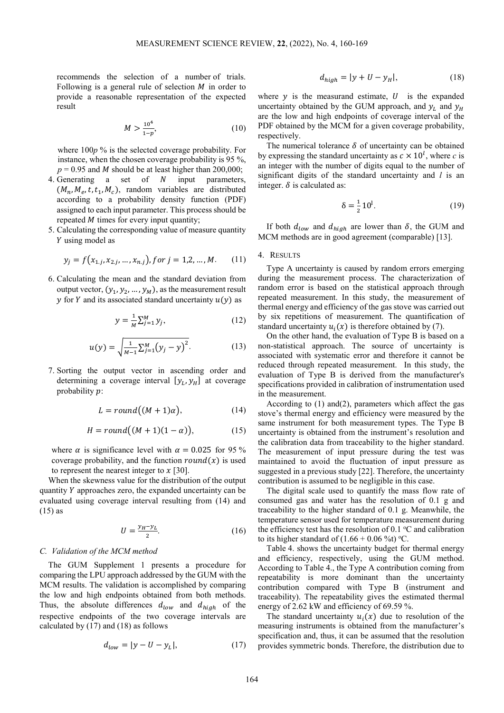recommends the selection of a number of trials. Following is a general rule of selection  $M$  in order to provide a reasonable representation of the expected result

$$
M > \frac{10^4}{1 - p},\tag{10}
$$

where 100*p* % is the selected coverage probability. For instance, when the chosen coverage probability is 95 %,  $p = 0.95$  and *M* should be at least higher than 200,000;

- 4. Generating  $a$  set of  $N$  input parameters,  $(M_n, M_e, t, t_1, M_c)$ , random variables are distributed according to a probability density function (PDF) assigned to each input parameter. This process should be repeated  $M$  times for every input quantity;
- 5. Calculating the corresponding value of measure quantity Y using model as

$$
y_j = f(x_{1,j}, x_{2,j}, \dots, x_{n,j}), for j = 1, 2, \dots, M. \tag{11}
$$

6. Calculating the mean and the standard deviation from output vector,  $(y_1, y_2, ..., y_M)$ , as the measurement result y for Y and its associated standard uncertainty  $u(y)$  as

$$
y = \frac{1}{M} \sum_{j=1}^{M} y_j,
$$
 (12)

$$
u(y) = \sqrt{\frac{1}{M-1} \sum_{j=1}^{M} (y_j - y)^2}.
$$
 (13)

7. Sorting the output vector in ascending order and determining a coverage interval  $[y_L, y_H]$  at coverage probability  $p$ :

$$
L = round((M+1)\alpha), \tag{14}
$$

$$
H = round((M+1)(1-\alpha)), \tag{15}
$$

where  $\alpha$  is significance level with  $\alpha = 0.025$  for 95 % coverage probability, and the function  $round(x)$  is used to represent the nearest integer to  $x$  [30].

When the skewness value for the distribution of the output quantity  $Y$  approaches zero, the expanded uncertainty can be evaluated using coverage interval resulting from (14) and (15) as

$$
U = \frac{y_H - y_L}{2}.\tag{16}
$$

### *C. Validation of the MCM method*

The GUM Supplement 1 presents a procedure for comparing the LPU approach addressed by the GUM with the MCM results. The validation is accomplished by comparing the low and high endpoints obtained from both methods. Thus, the absolute differences  $d_{low}$  and  $d_{high}$  of the respective endpoints of the two coverage intervals are calculated by (17) and (18) as follows

$$
d_{low} = |y - U - y_L|,\tag{17}
$$

$$
d_{high} = |y + U - y_H|,\t(18)
$$

where  $y$  is the measurand estimate,  $U$  is the expanded uncertainty obtained by the GUM approach, and  $y_L$  and  $y_H$ are the low and high endpoints of coverage interval of the PDF obtained by the MCM for a given coverage probability, respectively.

The numerical tolerance  $\delta$  of uncertainty can be obtained by expressing the standard uncertainty as  $c \times 10^l$ , where *c* is an integer with the number of digits equal to the number of significant digits of the standard uncertainty and *l* is an integer.  $\delta$  is calculated as:

$$
\delta = \frac{1}{2} 10^1. \tag{19}
$$

If both  $d_{low}$  and  $d_{high}$  are lower than  $\delta$ , the GUM and MCM methods are in good agreement (comparable) [13].

## 4. RESULTS

Type A uncertainty is caused by random errors emerging during the measurement process. The characterization of random error is based on the statistical approach through repeated measurement. In this study, the measurement of thermal energy and efficiency of the gas stove was carried out by six repetitions of measurement. The quantification of standard uncertainty  $u_i(x)$  is therefore obtained by (7).

On the other hand, the evaluation of Type B is based on a non-statistical approach. The source of uncertainty is associated with systematic error and therefore it cannot be reduced through repeated measurement. In this study, the evaluation of Type B is derived from the manufacturer's specifications provided in calibration of instrumentation used in the measurement.

According to (1) and(2), parameters which affect the gas stove's thermal energy and efficiency were measured by the same instrument for both measurement types. The Type B uncertainty is obtained from the instrument's resolution and the calibration data from traceability to the higher standard. The measurement of input pressure during the test was maintained to avoid the fluctuation of input pressure as suggested in a previous study [22]. Therefore, the uncertainty contribution is assumed to be negligible in this case.

The digital scale used to quantify the mass flow rate of consumed gas and water has the resolution of 0.1 g and traceability to the higher standard of 0.1 g. Meanwhile, the temperature sensor used for temperature measurement during the efficiency test has the resolution of  $0.1 \degree C$  and calibration to its higher standard of  $(1.66 + 0.06 \text{ %}t)$  °C.

Table 4. shows the uncertainty budget for thermal energy and efficiency, respectively, using the GUM method. According to Table 4., the Type A contribution coming from repeatability is more dominant than the uncertainty contribution compared with Type B (instrument and traceability). The repeatability gives the estimated thermal energy of 2.62 kW and efficiency of 69.59 %.

The standard uncertainty  $u_i(x)$  due to resolution of the measuring instruments is obtained from the manufacturer's specification and, thus, it can be assumed that the resolution provides symmetric bonds. Therefore, the distribution due to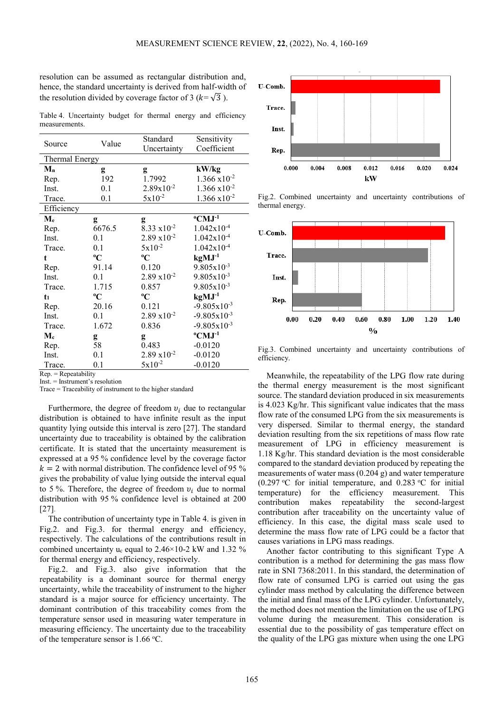resolution can be assumed as rectangular distribution and, hence, the standard uncertainty is derived from half-width of the resolution divided by coverage factor of 3 ( $k = \sqrt{3}$ ).

Table 4. Uncertainty budget for thermal energy and efficiency measurements.

| Source                    | Value       | Standard              | Sensitivity             |  |
|---------------------------|-------------|-----------------------|-------------------------|--|
|                           |             | Uncertainty           | Coefficient             |  |
| <b>Thermal Energy</b>     |             |                       |                         |  |
| $M_{n}$                   | g           | g                     | kW/kg                   |  |
| Rep.                      | 192         | 1.7992                | $1.366 \times 10^{-2}$  |  |
| Inst.                     | 0.1         | $2.89x10^{-2}$        | $1.366 \times 10^{-2}$  |  |
| Trace.                    | 0.1         | $5x10^{-2}$           | $1.366 \times 10^{-2}$  |  |
| Efficiency                |             |                       |                         |  |
| $\mathbf{M}_{\mathbf{e}}$ | g           | g                     | $\rm ^{o}CMJ^{-1}$      |  |
| Rep.                      | 6676.5      | $8.33 \times 10^{-2}$ | $1.042x10^{-4}$         |  |
| Inst.                     | 0.1         | $2.89 \times 10^{-2}$ | $1.042x10^{-4}$         |  |
| Trace.                    | 0.1         | $5x10^{-2}$           | $1.042x10^{-4}$         |  |
| t                         | $\rm ^{o}C$ | $\rm ^{o}C$           | $kgMJ-1$                |  |
| Rep.                      | 91.14       | 0.120                 | $9.805x10^{-3}$         |  |
| Inst.                     | 0.1         | $2.89 \times 10^{-2}$ | $9.805 \times 10^{-3}$  |  |
| Trace.                    | 1.715       | 0.857                 | $9.805 \times 10^{-3}$  |  |
| $t_1$                     | $\rm ^{o}C$ | $\rm ^{o}C$           | $kgMJ-1$                |  |
| Rep.                      | 20.16       | 0.121                 | $-9.805x10^{-3}$        |  |
| Inst.                     | 0.1         | $2.89 \times 10^{-2}$ | $-9.805 \times 10^{-3}$ |  |
| Trace.                    | 1.672       | 0.836                 | $-9.805x10^{-3}$        |  |
| $M_{c}$                   | g           | g                     | $\rm ^{o}CMJ^{-1}$      |  |
| Rep.                      | 58          | 0.483                 | $-0.0120$               |  |
| Inst.                     | 0.1         | $2.89 \times 10^{-2}$ | $-0.0120$               |  |
| Trace.                    | 0.1         | $5x10^{-2}$           | $-0.0120$               |  |

 $Ren = Reneatability$ 

Inst. = Instrument's resolution

Trace = Traceability of instrument to the higher standard

Furthermore, the degree of freedom  $v_i$  due to rectangular distribution is obtained to have infinite result as the input quantity lying outside this interval is zero [27]. The standard uncertainty due to traceability is obtained by the calibration certificate. It is stated that the uncertainty measurement is expressed at a 95 % confidence level by the coverage factor  $k = 2$  with normal distribution. The confidence level of 95 % gives the probability of value lying outside the interval equal to 5 %. Therefore, the degree of freedom  $v_i$  due to normal distribution with 95 % confidence level is obtained at 200 [27].

The contribution of uncertainty type in Table 4. is given in Fig.2. and Fig.3. for thermal energy and efficiency, respectively. The calculations of the contributions result in combined uncertainty  $u_c$  equal to 2.46×10-2 kW and 1.32 % for thermal energy and efficiency, respectively.

Fig.2. and Fig.3. also give information that the repeatability is a dominant source for thermal energy uncertainty, while the traceability of instrument to the higher standard is a major source for efficiency uncertainty. The dominant contribution of this traceability comes from the temperature sensor used in measuring water temperature in measuring efficiency. The uncertainty due to the traceability of the temperature sensor is  $1.66$  °C.



Fig.2. Combined uncertainty and uncertainty contributions of thermal energy.



Fig.3. Combined uncertainty and uncertainty contributions of efficiency.

Meanwhile, the repeatability of the LPG flow rate during the thermal energy measurement is the most significant source. The standard deviation produced in six measurements is 4.023 Kg/hr. This significant value indicates that the mass flow rate of the consumed LPG from the six measurements is very dispersed. Similar to thermal energy, the standard deviation resulting from the six repetitions of mass flow rate measurement of LPG in efficiency measurement is 1.18 Kg/hr. This standard deviation is the most considerable compared to the standard deviation produced by repeating the measurements of water mass (0.204 g) and water temperature (0.297 °C for initial temperature, and 0.283 °C for initial temperature) for the efficiency measurement. This contribution makes repeatability the second-largest contribution after traceability on the uncertainty value of efficiency. In this case, the digital mass scale used to determine the mass flow rate of LPG could be a factor that causes variations in LPG mass readings.

Another factor contributing to this significant Type A contribution is a method for determining the gas mass flow rate in SNI 7368:2011. In this standard, the determination of flow rate of consumed LPG is carried out using the gas cylinder mass method by calculating the difference between the initial and final mass of the LPG cylinder. Unfortunately, the method does not mention the limitation on the use of LPG volume during the measurement. This consideration is essential due to the possibility of gas temperature effect on the quality of the LPG gas mixture when using the one LPG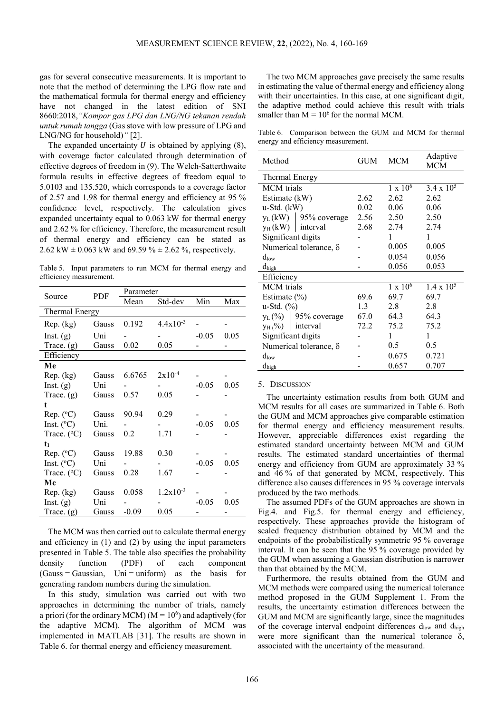gas for several consecutive measurements. It is important to note that the method of determining the LPG flow rate and the mathematical formula for thermal energy and efficiency have not changed in the latest edition of SNI 8660:2018,*"Kompor gas LPG dan LNG/NG tekanan rendah untuk rumah tangga* (Gas stove with low pressure of LPG and LNG/NG for household)*"* [2].

The expanded uncertainty  $U$  is obtained by applying  $(8)$ , with coverage factor calculated through determination of effective degrees of freedom in (9). The Welch-Satterthwaite formula results in effective degrees of freedom equal to 5.0103 and 135.520, which corresponds to a coverage factor of 2.57 and 1.98 for thermal energy and efficiency at 95 % confidence level, respectively. The calculation gives expanded uncertainty equal to 0.063 kW for thermal energy and 2.62 % for efficiency. Therefore, the measurement result of thermal energy and efficiency can be stated as 2.62 kW  $\pm$  0.063 kW and 69.59 %  $\pm$  2.62 %, respectively.

Table 5. Input parameters to run MCM for thermal energy and efficiency measurement.

| Source                | <b>PDF</b>   | Parameter |               |         |      |  |
|-----------------------|--------------|-----------|---------------|---------|------|--|
|                       |              | Mean      | Std-dev       | Min     | Max  |  |
| <b>Thermal Energy</b> |              |           |               |         |      |  |
| Rep. (kg)             | Gauss        | 0.192     | $4.4x10^{-3}$ |         |      |  |
| Inst. (g)             | Uni          |           |               | $-0.05$ | 0.05 |  |
| Trace. $(g)$          | Gauss        | 0.02      | 0.05          |         |      |  |
| Efficiency            |              |           |               |         |      |  |
| Me                    |              |           |               |         |      |  |
| Rep. (kg)             | <b>Gauss</b> | 6.6765    | $2x10^{-4}$   |         |      |  |
| Inst. $(g)$           | Uni          |           |               | $-0.05$ | 0.05 |  |
| Trace. $(g)$          | Gauss        | 0.57      | 0.05          |         |      |  |
| t                     |              |           |               |         |      |  |
| Rep. (°C)             | Gauss        | 90.94     | 0.29          |         |      |  |
| Inst. $(^{\circ}C)$   | Uni.         |           |               | $-0.05$ | 0.05 |  |
| Trace. (°C)           | Gauss        | 0.2       | 1.71          |         |      |  |
| t <sub>1</sub>        |              |           |               |         |      |  |
| Rep. (°C)             | Gauss        | 19.88     | 0.30          |         |      |  |
| Inst. $(^{\circ}C)$   | Uni          |           |               | $-0.05$ | 0.05 |  |
| Trace. $(^{\circ}C)$  | Gauss        | 0.28      | 1.67          |         |      |  |
| Mc                    |              |           |               |         |      |  |
| Rep. (kg)             | Gauss        | 0.058     | $1.2x10^{-3}$ |         |      |  |
| Inst. $(g)$           | Uni          |           |               | $-0.05$ | 0.05 |  |
| Trace. $(g)$          | Gauss        | $-0.09$   | 0.05          |         |      |  |

The MCM was then carried out to calculate thermal energy and efficiency in (1) and (2) by using the input parameters presented in Table 5. The table also specifies the probability density function (PDF) of each component  $(Gauss = Gaussian,$   $Uni = uniform)$  as the basis for generating random numbers during the simulation.

In this study, simulation was carried out with two approaches in determining the number of trials, namely a priori (for the ordinary MCM) ( $M = 10<sup>6</sup>$ ) and adaptively (for the adaptive MCM). The algorithm of MCM was implemented in MATLAB [31]. The results are shown in Table 6. for thermal energy and efficiency measurement.

The two MCM approaches gave precisely the same results in estimating the value of thermal energy and efficiency along with their uncertainties. In this case, at one significant digit, the adaptive method could achieve this result with trials smaller than  $M = 10^6$  for the normal MCM.

Table 6. Comparison between the GUM and MCM for thermal energy and efficiency measurement.

| Method                        |                          | GUM  | <b>MCM</b>      | Adaptive<br>MCM     |  |
|-------------------------------|--------------------------|------|-----------------|---------------------|--|
| Thermal Energy                |                          |      |                 |                     |  |
| <b>MCM</b> trials             |                          |      | $1 \times 10^6$ | $3.4 \times 10^{5}$ |  |
| Estimate (kW)                 |                          | 2.62 | 2.62            | 2.62                |  |
| $u-Std.$ ( $kW$ )             |                          | 0.02 | 0.06            | 0.06                |  |
|                               | $y_L(kW)$   95% coverage | 2.56 | 2.50            | 2.50                |  |
| $y_H(kW)$ interval            |                          | 2.68 | 2.74            | 2.74                |  |
| Significant digits            |                          |      | 1               | 1                   |  |
|                               | Numerical tolerance, δ   |      | 0.005           | 0.005               |  |
| $d_{low}$                     |                          |      | 0.054           | 0.056               |  |
| $d_{\hbox{\scriptsize high}}$ |                          |      | 0.056           | 0.053               |  |
| Efficiency                    |                          |      |                 |                     |  |
| <b>MCM</b> trials             |                          |      | $1 \times 10^6$ | $1.4 \times 10^5$   |  |
| Estimate $(\% )$              |                          | 69.6 | 69.7            | 69.7                |  |
| $u-Std.$ $(\%)$               |                          | 1.3  | 2.8             | 2.8                 |  |
| $y_L$ (%)                     | 95% coverage             | 67.0 | 64.3            | 64.3                |  |
| $V_H$ (%)                     | interval                 | 72.2 | 75.2            | 75.2                |  |
| Significant digits            |                          |      | 1               | 1                   |  |
| Numerical tolerance, δ        |                          |      | 0.5             | 0.5                 |  |
| $d_{low}$                     |                          |      | 0.675           | 0.721               |  |
| $d_{\text{high}}$             |                          |      | 0.657           | 0.707               |  |

## 5. DISCUSSION

The uncertainty estimation results from both GUM and MCM results for all cases are summarized in Table 6. Both the GUM and MCM approaches give comparable estimation for thermal energy and efficiency measurement results. However, appreciable differences exist regarding the estimated standard uncertainty between MCM and GUM results. The estimated standard uncertainties of thermal energy and efficiency from GUM are approximately 33 % and 46 % of that generated by MCM, respectively. This difference also causes differences in 95 % coverage intervals produced by the two methods.

The assumed PDFs of the GUM approaches are shown in Fig.4. and Fig.5. for thermal energy and efficiency, respectively. These approaches provide the histogram of scaled frequency distribution obtained by MCM and the endpoints of the probabilistically symmetric 95 % coverage interval. It can be seen that the 95 % coverage provided by the GUM when assuming a Gaussian distribution is narrower than that obtained by the MCM.

Furthermore, the results obtained from the GUM and MCM methods were compared using the numerical tolerance method proposed in the GUM Supplement 1. From the results, the uncertainty estimation differences between the GUM and MCM are significantly large, since the magnitudes of the coverage interval endpoint differences  $d_{\text{low}}$  and  $d_{\text{high}}$ were more significant than the numerical tolerance  $\delta$ , associated with the uncertainty of the measurand.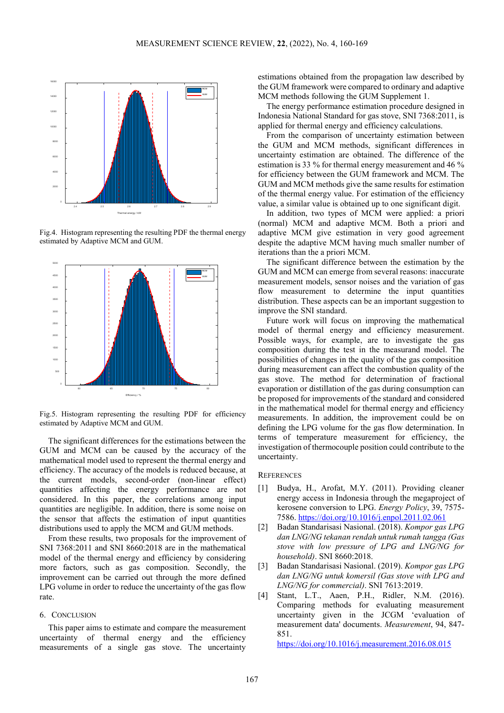

Fig.4. Histogram representing the resulting PDF the thermal energy estimated by Adaptive MCM and GUM.



Fig.5. Histogram representing the resulting PDF for efficiency estimated by Adaptive MCM and GUM.

The significant differences for the estimations between the GUM and MCM can be caused by the accuracy of the mathematical model used to represent the thermal energy and efficiency. The accuracy of the models is reduced because, at the current models, second-order (non-linear effect) quantities affecting the energy performance are not considered. In this paper, the correlations among input quantities are negligible. In addition, there is some noise on the sensor that affects the estimation of input quantities distributions used to apply the MCM and GUM methods.

From these results, two proposals for the improvement of SNI 7368:2011 and SNI 8660:2018 are in the mathematical model of the thermal energy and efficiency by considering more factors, such as gas composition. Secondly, the improvement can be carried out through the more defined LPG volume in order to reduce the uncertainty of the gas flow rate.

#### 6. CONCLUSION

This paper aims to estimate and compare the measurement uncertainty of thermal energy and the efficiency measurements of a single gas stove. The uncertainty estimations obtained from the propagation law described by the GUM framework were compared to ordinary and adaptive MCM methods following the GUM Supplement 1.

The energy performance estimation procedure designed in Indonesia National Standard for gas stove, SNI 7368:2011, is applied for thermal energy and efficiency calculations.

From the comparison of uncertainty estimation between the GUM and MCM methods, significant differences in uncertainty estimation are obtained. The difference of the estimation is 33 % for thermal energy measurement and 46 % for efficiency between the GUM framework and MCM. The GUM and MCM methods give the same results for estimation of the thermal energy value. For estimation of the efficiency value, a similar value is obtained up to one significant digit.

In addition, two types of MCM were applied: a priori (normal) MCM and adaptive MCM. Both a priori and adaptive MCM give estimation in very good agreement despite the adaptive MCM having much smaller number of iterations than the a priori MCM.

The significant difference between the estimation by the GUM and MCM can emerge from several reasons: inaccurate measurement models, sensor noises and the variation of gas flow measurement to determine the input quantities distribution. These aspects can be an important suggestion to improve the SNI standard.

Future work will focus on improving the mathematical model of thermal energy and efficiency measurement. Possible ways, for example, are to investigate the gas composition during the test in the measurand model. The possibilities of changes in the quality of the gas composition during measurement can affect the combustion quality of the gas stove. The method for determination of fractional evaporation or distillation of the gas during consumption can be proposed for improvements of the standard and considered in the mathematical model for thermal energy and efficiency measurements. In addition, the improvement could be on defining the LPG volume for the gas flow determination. In terms of temperature measurement for efficiency, the investigation of thermocouple position could contribute to the uncertainty.

#### **REFERENCES**

- [1] Budya, H., Arofat, M.Y. (2011). Providing cleaner energy access in Indonesia through the megaproject of kerosene conversion to LPG. *Energy Policy*, 39, 7575- 7586[. https://doi.org/10.1016/j.enpol.2011.02.061](https://doi.org/10.1016/j.enpol.2011.02.061)
- [2] Badan Standarisasi Nasional. (2018). *Kompor gas LPG dan LNG/NG tekanan rendah untuk rumah tangga (Gas stove with low pressure of LPG and LNG/NG for household)*. SNI 8660:2018.
- [3] Badan Standarisasi Nasional. (2019). *Kompor gas LPG dan LNG/NG untuk komersil (Gas stove with LPG and LNG/NG for commercial)*. SNI 7613:2019.
- [4] Stant, L.T., Aaen, P.H., Ridler, N.M. (2016). Comparing methods for evaluating measurement uncertainty given in the JCGM 'evaluation of measurement data' documents. *Measurement*, 94, 847- 851.

<https://doi.org/10.1016/j.measurement.2016.08.015>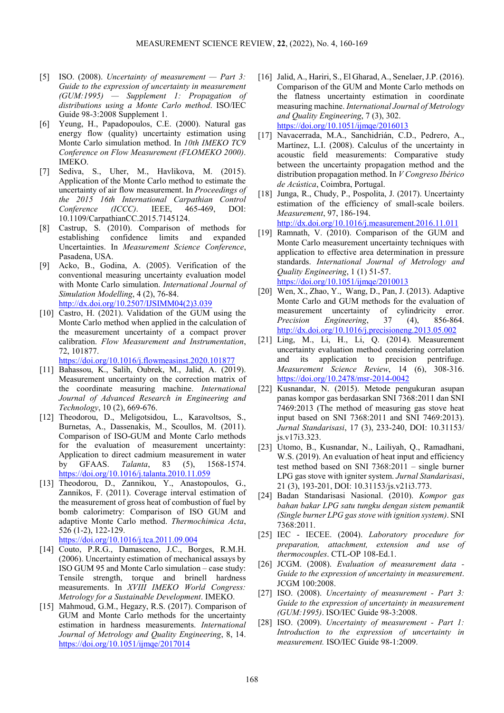- [5] ISO. (2008). *Uncertainty of measurement — Part 3: Guide to the expression of uncertainty in measurement (GUM:1995) — Supplement 1: Propagation of distributions using a Monte Carlo method*. ISO/IEC Guide 98-3:2008 Supplement 1.
- [6] Yeung, H., Papadopoulos, C.E. (2000). Natural gas energy flow (quality) uncertainty estimation using Monte Carlo simulation method. In *10th IMEKO TC9 Conference on Flow Measurement (FLOMEKO 2000)*. IMEKO.
- [7] Sediva, S., Uher, M., Havlikova, M. (2015). Application of the Monte Carlo method to estimate the uncertainty of air flow measurement. In *Proceedings of the 2015 16th International Carpathian Control Conference (ICCC)*. IEEE, 465-469, DOI: 10.1109/CarpathianCC.2015.7145124.
- [8] Castrup, S. (2010). Comparison of methods for establishing confidence limits and expanded Uncertainties. In *Measurement Science Conference*, Pasadena, USA.
- [9] Acko, B., Godina, A. (2005). Verification of the conventional measuring uncertainty evaluation model with Monte Carlo simulation. *International Journal of Simulation Modelling*, 4 (2), 76-84. [http://dx.doi.org/10.2507/IJSIMM04\(2\)3.039](http://dx.doi.org/10.2507/IJSIMM04(2)3.039)
- [10] Castro, H. (2021). Validation of the GUM using the Monte Carlo method when applied in the calculation of the measurement uncertainty of a compact prover calibration. *Flow Measurement and Instrumentation*, 72, 101877.

<https://doi.org/10.1016/j.flowmeasinst.2020.101877>

- [11] Bahassou, K., Salih, Oubrek, M., Jalid, A. (2019). Measurement uncertainty on the correction matrix of the coordinate measuring machine. *International Journal of Advanced Research in Engineering and Technology*, 10 (2), 669-676.
- [12] Theodorou, D., Meligotsidou, L., Karavoltsos, S., Burnetas, A., Dassenakis, M., Scoullos, M. (2011). Comparison of ISO-GUM and Monte Carlo methods for the evaluation of measurement uncertainty: Application to direct cadmium measurement in water by GFAAS. *Talanta*, 83 (5), 1568-1574. <https://doi.org/10.1016/j.talanta.2010.11.059>
- [13] Theodorou, D., Zannikou, Y., Anastopoulos, G., Zannikos, F. (2011). Coverage interval estimation of the measurement of gross heat of combustion of fuel by bomb calorimetry: Comparison of ISO GUM and adaptive Monte Carlo method. *Thermochimica Acta*, 526 (1-2), 122-129.
	- <https://doi.org/10.1016/j.tca.2011.09.004>
- [14] Couto, P.R.G., Damasceno, J.C., Borges, R.M.H. (2006). Uncertainty estimation of mechanical assays by ISO GUM 95 and Monte Carlo simulation – case study: Tensile strength, torque and brinell hardness measurements. In *XVIII IMEKO World Congress: Metrology for a Sustainable Development*. IMEKO.
- [15] Mahmoud, G.M., Hegazy, R.S. (2017). Comparison of GUM and Monte Carlo methods for the uncertainty estimation in hardness measurements. *International Journal of Metrology and Quality Engineering*, 8, 14. <https://doi.org/10.1051/ijmqe/2017014>
- [16] Jalid, A., Hariri, S., El Gharad, A., Senelaer, J.P. (2016). Comparison of the GUM and Monte Carlo methods on the flatness uncertainty estimation in coordinate measuring machine. *International Journal of Metrology and Quality Engineering*, 7 (3), 302. <https://doi.org/10.1051/ijmqe/2016013>
- [17] Navacerrada, M.A., Sanchidrián, C.D., Pedrero, A., Martínez, L.I. (2008). Calculus of the uncertainty in acoustic field measurements: Comparative study between the uncertainty propagation method and the distribution propagation method. In *V Congreso Ibérico de Acústica*, Coimbra, Portugal.
- [18] Junga, R., Chudy, P., Pospolita, J. (2017). Uncertainty estimation of the efficiency of small-scale boilers. *Measurement*, 97, 186-194.

<http://dx.doi.org/10.1016/j.measurement.2016.11.011>

- [19] Ramnath, V. (2010). Comparison of the GUM and Monte Carlo measurement uncertainty techniques with application to effective area determination in pressure standards. *International Journal of Metrology and Quality Engineering*, 1 (1) 51-57. <https://doi.org/10.1051/ijmqe/2010013>
- [20] Wen, X., Zhao, Y., Wang, D., Pan, J. (2013). Adaptive Monte Carlo and GUM methods for the evaluation of measurement uncertainty of cylindricity error. *Precision Engineering*, 37 (4), 856-864. <http://dx.doi.org/10.1016/j.precisioneng.2013.05.002>
- [21] Ling, M., Li, H., Li, Q. (2014). Measurement uncertainty evaluation method considering correlation and its application to precision pentrifuge. *Measurement Science Review*, 14 (6), 308-316. <https://doi.org/10.2478/msr-2014-0042>
- [22] Kusnandar, N. (2015). Metode pengukuran asupan panas kompor gas berdasarkan SNI 7368:2011 dan SNI 7469:2013 (The method of measuring gas stove heat input based on SNI 7368:2011 and SNI 7469:2013). *Jurnal Standarisasi*, 17 (3), 233-240, DOI: 10.31153/ js.v17i3.323.
- [23] Utomo, B., Kusnandar, N., Lailiyah, Q., Ramadhani, W.S. (2019). An evaluation of heat input and efficiency test method based on SNI 7368:2011 – single burner LPG gas stove with igniter system. *Jurnal Standarisasi*, 21 (3), 193-201, DOI: 10.31153/js.v21i3.773.
- [24] Badan Standarisasi Nasional. (2010). *Kompor gas bahan bakar LPG satu tungku dengan sistem pemantik (Single burner LPG gas stove with ignition system)*. SNI 7368:2011.
- [25] IEC IECEE. (2004). *Laboratory procedure for preparation, attachment, extension and use of thermocouples*. CTL-OP 108-Ed.1.
- [26] JCGM. (2008). *Evaluation of measurement data - Guide to the expression of uncertainty in measurement*. JCGM 100:2008.
- [27] ISO. (2008). *Uncertainty of measurement - Part 3: Guide to the expression of uncertainty in measurement (GUM:1995)*. ISO/IEC Guide 98-3:2008.
- [28] ISO. (2009). *Uncertainty of measurement - Part 1: Introduction to the expression of uncertainty in measurement.* ISO/IEC Guide 98-1:2009.